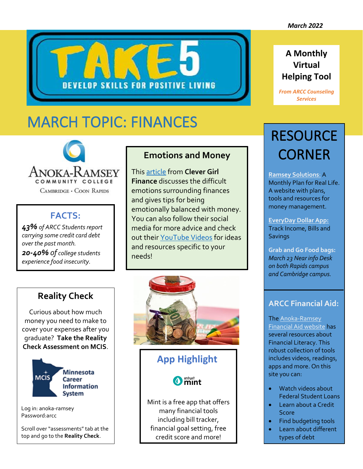**A Monthly Virtual** 

**Helping Tool**

*From ARCC Counseling* 



# MARCH TOPIC: FINANCES



CAMBRIDGE · COON RAPIDS

## **FACTS:**

*43% of ARCC Students report carrying some credit card debt over the past month. 20-40% of college students experience food insecurity.*

#### **Emotions and Money**

This [article](https://www.clevergirlfinance.com/blog/emotionally-balanced-with-money/) from **Clever Girl Finance** discusses the difficult emotions surrounding finances and gives tips for being emotionally balanced with money. You can also follow their social media for more advice and check out their [YouTube Videos](https://www.youtube.com/clevergirlfinance) for ideas and resources specific to your needs!

#### **Reality Check**

Curious about how much money you need to make to cover your expenses after you graduate? **Take the Reality Check Assessment on MCIS**.



Log in: anoka-ramsey Password:arcc

Scroll over "assessments" tab at the top and go to the **Reality Check**.



### **App Highlight**

**O** mint

Mint is a free app that offers many financial tools including bill tracker, financial goal setting, free credit score and more!

# *Services*

## **RESOURCE** CORNER

**[Ramsey Solutions](https://www.ramseysolutions.com/)**: A Monthly Plan for Real Life. A website with plans, tools and resources for money management.

**[EveryDay Dollar App:](https://apps.apple.com/us/app/everydollar-budget-your-money/id942571931)** Track Income, Bills and **Savings** 

**Grab and Go Food bags:** *March 23 Near info Desk on both Rapids campus and Cambridge campus.*

#### **ARCC Financial Aid:**

The [Anoka-Ramsey](https://www.anokaramsey.edu/cost-aid/financial-literacy/)  [Financial Aid website](https://www.anokaramsey.edu/cost-aid/financial-literacy/) has several resources about Financial Literacy. This robust collection of tools includes videos, readings, apps and more. On this site you can:

- Watch videos about Federal Student Loans
- Learn about a Credit **Score**
- Find budgeting tools
- Learn about different types of debt